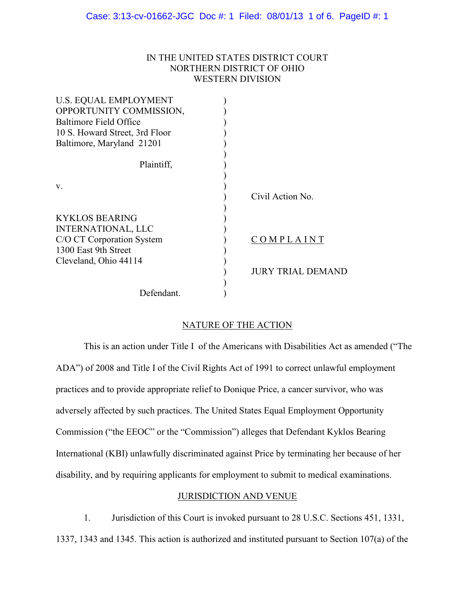## IN THE UNITED STATES DISTRICT COURT NORTHERN DISTRICT OF OHIO WESTERN DIVISION

| <b>U.S. EQUAL EMPLOYMENT</b><br>OPPORTUNITY COMMISSION,<br>Baltimore Field Office<br>10 S. Howard Street, 3rd Floor<br>Baltimore, Maryland 21201 |                          |
|--------------------------------------------------------------------------------------------------------------------------------------------------|--------------------------|
| Plaintiff,                                                                                                                                       |                          |
| V.                                                                                                                                               | Civil Action No.         |
| <b>KYKLOS BEARING</b><br><b>INTERNATIONAL, LLC</b><br>C/O CT Corporation System<br>1300 East 9th Street                                          | COMPLAINT                |
| Cleveland, Ohio 44114                                                                                                                            | <b>JURY TRIAL DEMAND</b> |
| Defendant.                                                                                                                                       |                          |

# NATURE OF THE ACTION

This is an action under Title I of the Americans with Disabilities Act as amended ("The ADA") of 2008 and Title I of the Civil Rights Act of 1991 to correct unlawful employment practices and to provide appropriate relief to Donique Price, a cancer survivor, who was adversely affected by such practices. The United States Equal Employment Opportunity Commission ("the EEOC" or the "Commission") alleges that Defendant Kyklos Bearing International (KBI) unlawfully discriminated against Price by terminating her because of her disability, and by requiring applicants for employment to submit to medical examinations.

## JURISDICTION AND VENUE

1. Jurisdiction of this Court is invoked pursuant to 28 U.S.C. Sections 451, 1331,

1337, 1343 and 1345. This action is authorized and instituted pursuant to Section 107(a) of the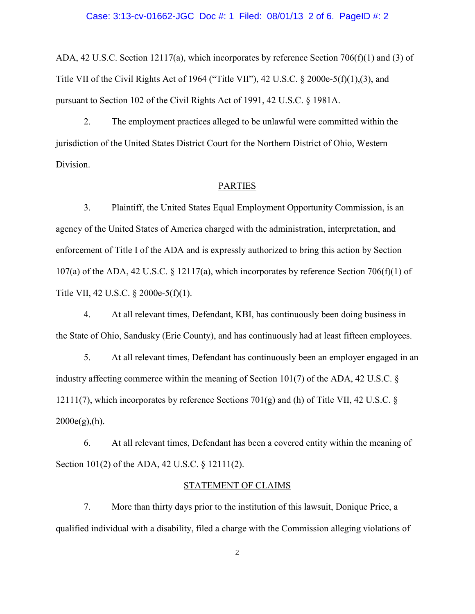#### Case: 3:13-cv-01662-JGC Doc #: 1 Filed: 08/01/13 2 of 6. PageID #: 2

ADA, 42 U.S.C. Section 12117(a), which incorporates by reference Section 706(f)(1) and (3) of Title VII of the Civil Rights Act of 1964 ("Title VII"), 42 U.S.C. § 2000e-5(f)(1),(3), and pursuant to Section 102 of the Civil Rights Act of 1991, 42 U.S.C. § 1981A.

2. The employment practices alleged to be unlawful were committed within the jurisdiction of the United States District Court for the Northern District of Ohio, Western Division.

### PARTIES

3. Plaintiff, the United States Equal Employment Opportunity Commission, is an agency of the United States of America charged with the administration, interpretation, and enforcement of Title I of the ADA and is expressly authorized to bring this action by Section 107(a) of the ADA, 42 U.S.C. § 12117(a), which incorporates by reference Section 706(f)(1) of Title VII, 42 U.S.C. § 2000e-5(f)(1).

4. At all relevant times, Defendant, KBI, has continuously been doing business in the State of Ohio, Sandusky (Erie County), and has continuously had at least fifteen employees.

5. At all relevant times, Defendant has continuously been an employer engaged in an industry affecting commerce within the meaning of Section 101(7) of the ADA, 42 U.S.C. § 12111(7), which incorporates by reference Sections 701(g) and (h) of Title VII, 42 U.S.C. §  $2000e(g), (h)$ .

6. At all relevant times, Defendant has been a covered entity within the meaning of Section 101(2) of the ADA, 42 U.S.C. § 12111(2).

#### STATEMENT OF CLAIMS

7. More than thirty days prior to the institution of this lawsuit, Donique Price, a qualified individual with a disability, filed a charge with the Commission alleging violations of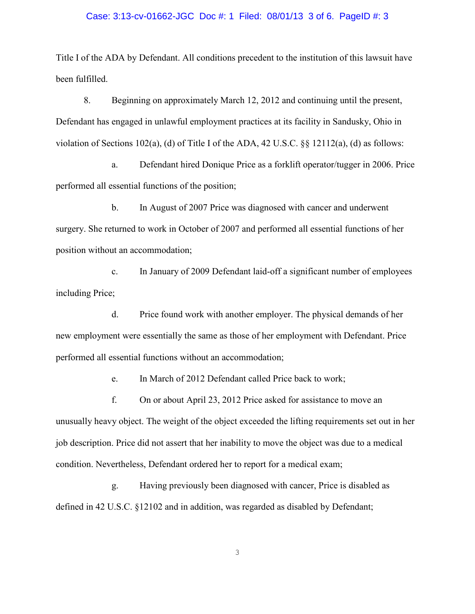#### Case: 3:13-cv-01662-JGC Doc #: 1 Filed: 08/01/13 3 of 6. PageID #: 3

Title I of the ADA by Defendant. All conditions precedent to the institution of this lawsuit have been fulfilled.

8. Beginning on approximately March 12, 2012 and continuing until the present, Defendant has engaged in unlawful employment practices at its facility in Sandusky, Ohio in violation of Sections 102(a), (d) of Title I of the ADA, 42 U.S.C. §§ 12112(a), (d) as follows:

a. Defendant hired Donique Price as a forklift operator/tugger in 2006. Price performed all essential functions of the position;

b. In August of 2007 Price was diagnosed with cancer and underwent surgery. She returned to work in October of 2007 and performed all essential functions of her position without an accommodation;

c. In January of 2009 Defendant laid-off a significant number of employees including Price;

d. Price found work with another employer. The physical demands of her new employment were essentially the same as those of her employment with Defendant. Price performed all essential functions without an accommodation;

e. In March of 2012 Defendant called Price back to work;

f. On or about April 23, 2012 Price asked for assistance to move an unusually heavy object. The weight of the object exceeded the lifting requirements set out in her job description. Price did not assert that her inability to move the object was due to a medical condition. Nevertheless, Defendant ordered her to report for a medical exam;

g. Having previously been diagnosed with cancer, Price is disabled as defined in 42 U.S.C. §12102 and in addition, was regarded as disabled by Defendant;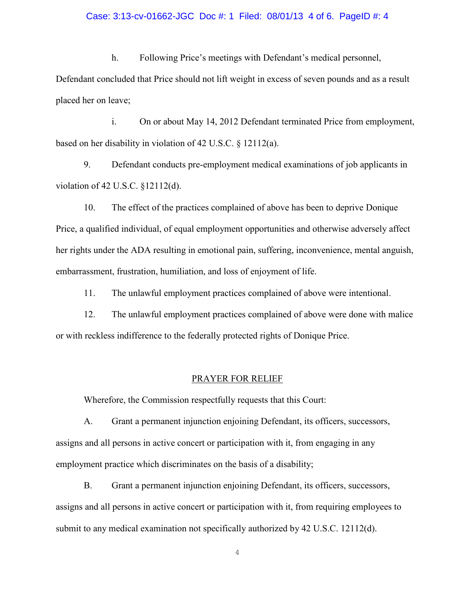#### Case: 3:13-cv-01662-JGC Doc #: 1 Filed: 08/01/13 4 of 6. PageID #: 4

h. Following Price's meetings with Defendant's medical personnel, Defendant concluded that Price should not lift weight in excess of seven pounds and as a result placed her on leave;

i. On or about May 14, 2012 Defendant terminated Price from employment, based on her disability in violation of 42 U.S.C. § 12112(a).

9. Defendant conducts pre-employment medical examinations of job applicants in violation of 42 U.S.C. §12112(d).

10. The effect of the practices complained of above has been to deprive Donique Price, a qualified individual, of equal employment opportunities and otherwise adversely affect her rights under the ADA resulting in emotional pain, suffering, inconvenience, mental anguish, embarrassment, frustration, humiliation, and loss of enjoyment of life.

11. The unlawful employment practices complained of above were intentional.

12. The unlawful employment practices complained of above were done with malice or with reckless indifference to the federally protected rights of Donique Price.

#### PRAYER FOR RELIEF

Wherefore, the Commission respectfully requests that this Court:

A. Grant a permanent injunction enjoining Defendant, its officers, successors, assigns and all persons in active concert or participation with it, from engaging in any employment practice which discriminates on the basis of a disability;

B. Grant a permanent injunction enjoining Defendant, its officers, successors, assigns and all persons in active concert or participation with it, from requiring employees to submit to any medical examination not specifically authorized by 42 U.S.C. 12112(d).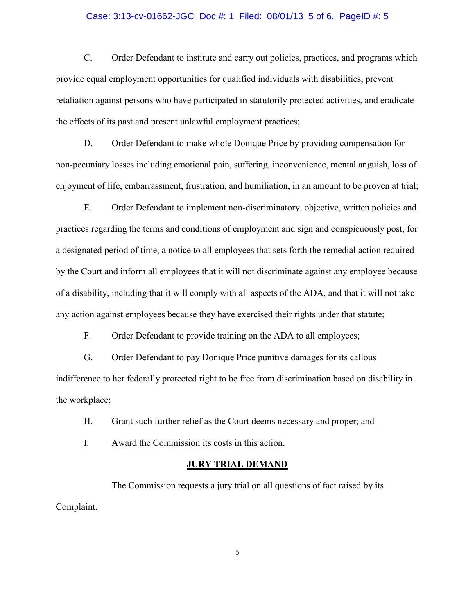#### Case: 3:13-cv-01662-JGC Doc #: 1 Filed: 08/01/13 5 of 6. PageID #: 5

C. Order Defendant to institute and carry out policies, practices, and programs which provide equal employment opportunities for qualified individuals with disabilities, prevent retaliation against persons who have participated in statutorily protected activities, and eradicate the effects of its past and present unlawful employment practices;

D. Order Defendant to make whole Donique Price by providing compensation for non-pecuniary losses including emotional pain, suffering, inconvenience, mental anguish, loss of enjoyment of life, embarrassment, frustration, and humiliation, in an amount to be proven at trial;

E. Order Defendant to implement non-discriminatory, objective, written policies and practices regarding the terms and conditions of employment and sign and conspicuously post, for a designated period of time, a notice to all employees that sets forth the remedial action required by the Court and inform all employees that it will not discriminate against any employee because of a disability, including that it will comply with all aspects of the ADA, and that it will not take any action against employees because they have exercised their rights under that statute;

F. Order Defendant to provide training on the ADA to all employees;

G. Order Defendant to pay Donique Price punitive damages for its callous indifference to her federally protected right to be free from discrimination based on disability in the workplace;

H. Grant such further relief as the Court deems necessary and proper; and

I. Award the Commission its costs in this action.

#### **JURY TRIAL DEMAND**

The Commission requests a jury trial on all questions of fact raised by its Complaint.